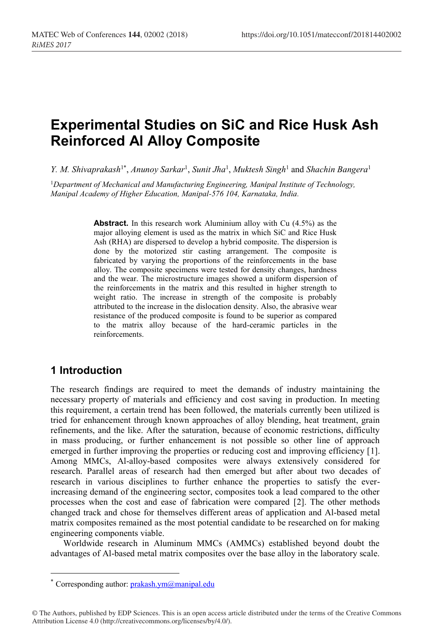# **Experimental Studies on SiC and Rice Husk Ash Reinforced Al Alloy Composite**

*Y. M. Shivaprakash*1\* , *Anunoy Sarkar*<sup>1</sup> , *Sunit Jha*<sup>1</sup> , *Muktesh Singh*<sup>1</sup> and *Shachin Bangera*<sup>1</sup>

<sup>1</sup>*Department of Mechanical and Manufacturing Engineering, Manipal Institute of Technology, Manipal Academy of Higher Education, Manipal-576 104, Karnataka, India.*

> **Abstract.** In this research work Aluminium alloy with Cu (4.5%) as the major alloying element is used as the matrix in which SiC and Rice Husk Ash (RHA) are dispersed to develop a hybrid composite. The dispersion is done by the motorized stir casting arrangement. The composite is fabricated by varying the proportions of the reinforcements in the base alloy. The composite specimens were tested for density changes, hardness and the wear. The microstructure images showed a uniform dispersion of the reinforcements in the matrix and this resulted in higher strength to weight ratio. The increase in strength of the composite is probably attributed to the increase in the dislocation density. Also, the abrasive wear resistance of the produced composite is found to be superior as compared to the matrix alloy because of the hard-ceramic particles in the reinforcements.

### **1 Introduction**

The research findings are required to meet the demands of industry maintaining the necessary property of materials and efficiency and cost saving in production. In meeting this requirement, a certain trend has been followed, the materials currently been utilized is tried for enhancement through known approaches of alloy blending, heat treatment, grain refinements, and the like. After the saturation, because of economic restrictions, difficulty in mass producing, or further enhancement is not possible so other line of approach emerged in further improving the properties or reducing cost and improving efficiency [1]. Among MMCs, Al-alloy-based composites were always extensively considered for research. Parallel areas of research had then emerged but after about two decades of research in various disciplines to further enhance the properties to satisfy the everincreasing demand of the engineering sector, composites took a lead compared to the other processes when the cost and ease of fabrication were compared [2]. The other methods changed track and chose for themselves different areas of application and Al-based metal matrix composites remained as the most potential candidate to be researched on for making engineering components viable.

Worldwide research in Aluminum MMCs (AMMCs) established beyond doubt the advantages of Al-based metal matrix composites over the base alloy in the laboratory scale.

<sup>\*</sup> Corresponding author:  $prakashym@manipal.edu$ 

<sup>©</sup> The Authors, published by EDP Sciences. This is an open access article distributed under the terms of the Creative Commons Attribution License 4.0 (http://creativecommons.org/licenses/by/4.0/).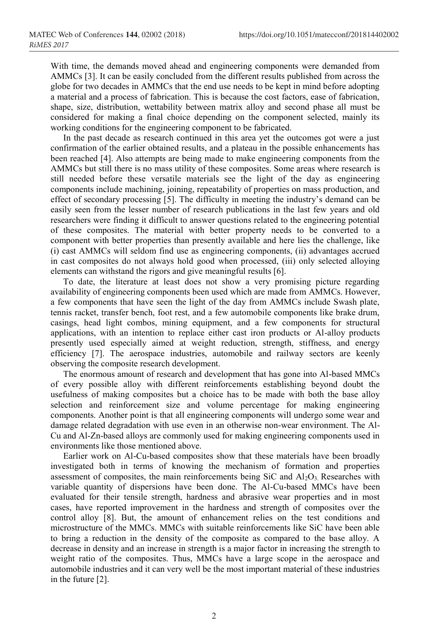With time, the demands moved ahead and engineering components were demanded from AMMCs [3]. It can be easily concluded from the different results published from across the globe for two decades in AMMCs that the end use needs to be kept in mind before adopting a material and a process of fabrication. This is because the cost factors, ease of fabrication, shape, size, distribution, wettability between matrix alloy and second phase all must be considered for making a final choice depending on the component selected, mainly its working conditions for the engineering component to be fabricated.

In the past decade as research continued in this area yet the outcomes got were a just confirmation of the earlier obtained results, and a plateau in the possible enhancements has been reached [4]. Also attempts are being made to make engineering components from the AMMCs but still there is no mass utility of these composites. Some areas where research is still needed before these versatile materials see the light of the day as engineering components include machining, joining, repeatability of properties on mass production, and effect of secondary processing [5]. The difficulty in meeting the industry's demand can be easily seen from the lesser number of research publications in the last few years and old researchers were finding it difficult to answer questions related to the engineering potential of these composites. The material with better property needs to be converted to a component with better properties than presently available and here lies the challenge, like (i) cast AMMCs will seldom find use as engineering components, (ii) advantages accrued in cast composites do not always hold good when processed, (iii) only selected alloying elements can withstand the rigors and give meaningful results [6].

To date, the literature at least does not show a very promising picture regarding availability of engineering components been used which are made from AMMCs. However, a few components that have seen the light of the day from AMMCs include Swash plate, tennis racket, transfer bench, foot rest, and a few automobile components like brake drum, casings, head light combos, mining equipment, and a few components for structural applications, with an intention to replace either cast iron products or Al-alloy products presently used especially aimed at weight reduction, strength, stiffness, and energy efficiency [7]. The aerospace industries, automobile and railway sectors are keenly observing the composite research development.

The enormous amount of research and development that has gone into Al-based MMCs of every possible alloy with different reinforcements establishing beyond doubt the usefulness of making composites but a choice has to be made with both the base alloy selection and reinforcement size and volume percentage for making engineering components. Another point is that all engineering components will undergo some wear and damage related degradation with use even in an otherwise non-wear environment. The Al-Cu and Al-Zn-based alloys are commonly used for making engineering components used in environments like those mentioned above.

Earlier work on Al-Cu-based composites show that these materials have been broadly investigated both in terms of knowing the mechanism of formation and properties assessment of composites, the main reinforcements being SiC and  $Al_2O_3$ . Researches with variable quantity of dispersions have been done. The Al-Cu-based MMCs have been evaluated for their tensile strength, hardness and abrasive wear properties and in most cases, have reported improvement in the hardness and strength of composites over the control alloy [8]. But, the amount of enhancement relies on the test conditions and microstructure of the MMCs. MMCs with suitable reinforcements like SiC have been able to bring a reduction in the density of the composite as compared to the base alloy. A decrease in density and an increase in strength is a major factor in increasing the strength to weight ratio of the composites. Thus, MMCs have a large scope in the aerospace and automobile industries and it can very well be the most important material of these industries in the future [2].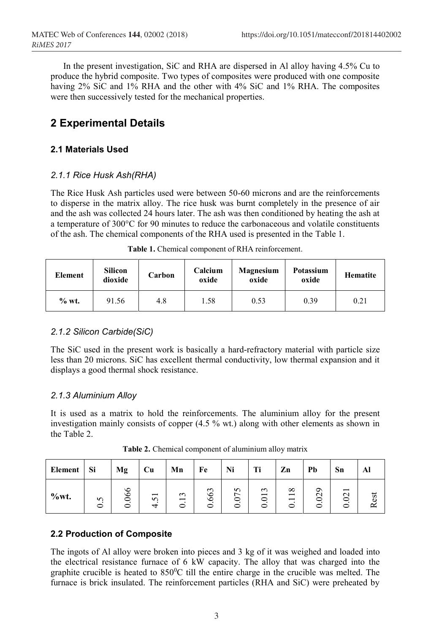In the present investigation, SiC and RHA are dispersed in Al alloy having 4.5% Cu to produce the hybrid composite. Two types of composites were produced with one composite having 2% SiC and 1% RHA and the other with 4% SiC and 1% RHA. The composites were then successively tested for the mechanical properties.

# **2 Experimental Details**

### **2.1 Materials Used**

#### *2.1.1 Rice Husk Ash(RHA)*

The Rice Husk Ash particles used were between 50-60 microns and are the reinforcements to disperse in the matrix alloy. The rice husk was burnt completely in the presence of air and the ash was collected 24 hours later. The ash was then conditioned by heating the ash at a temperature of 300°C for 90 minutes to reduce the carbonaceous and volatile constituents of the ash. The chemical components of the RHA used is presented in the Table 1.

| Element | <b>Silicon</b><br>dioxide | Carbon | Calcium<br>oxide | Magnesium<br>oxide | Potassium<br>oxide | <b>Hematite</b> |
|---------|---------------------------|--------|------------------|--------------------|--------------------|-----------------|
| $%$ wt. | 91.56                     | 4.8    | .58              | 0.53               | 0.39               | 0.21            |

**Table 1.** Chemical component of RHA reinforcement.

#### *2.1.2 Silicon Carbide(SiC)*

The SiC used in the present work is basically a hard-refractory material with particle size less than 20 microns. SiC has excellent thermal conductivity, low thermal expansion and it displays a good thermal shock resistance.

#### *2.1.3 Aluminium Alloy*

It is used as a matrix to hold the reinforcements. The aluminium alloy for the present investigation mainly consists of copper (4.5 % wt.) along with other elements as shown in the Table 2.

| Element | Si     | Mg | Cu                                   | Mn                                      | Fe                    | Ni          | Ti               | Zn                                                                        | Pb                          | Sn                                                 | Al  |
|---------|--------|----|--------------------------------------|-----------------------------------------|-----------------------|-------------|------------------|---------------------------------------------------------------------------|-----------------------------|----------------------------------------------------|-----|
| %wt.    | 5<br>ᅌ | 66 | $\overline{\phantom{0}}$<br>$\Omega$ | $\sim$<br>$\overline{\phantom{0}}$<br>0 | $\epsilon$<br>66<br>0 | n<br>0<br>0 | $\sim$<br>ਠ<br>っ | ${}^{\circ}$<br>$\overline{\phantom{0}}$<br>$\overline{\phantom{0}}$<br>0 | ᡋ<br>$\mathbf{\Omega}$<br>⊂ | $\overline{\phantom{0}}$<br>$\mathbf{\Omega}$<br>⊂ | ន្ល |

**Table 2.** Chemical component of aluminium alloy matrix

### **2.2 Production of Composite**

The ingots of Al alloy were broken into pieces and 3 kg of it was weighed and loaded into the electrical resistance furnace of 6 kW capacity. The alloy that was charged into the graphite crucible is heated to  $850^{\circ}$ C till the entire charge in the crucible was melted. The furnace is brick insulated. The reinforcement particles (RHA and SiC) were preheated by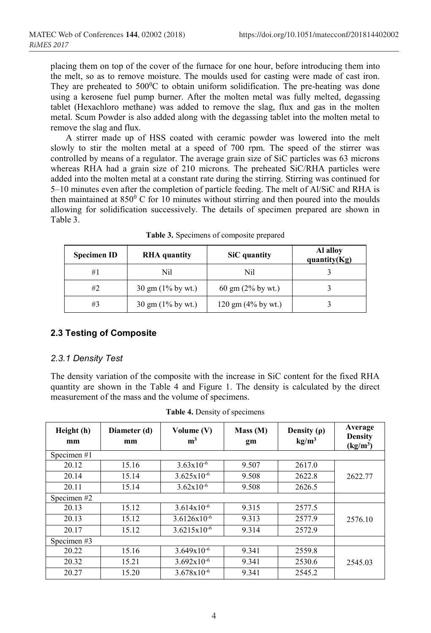placing them on top of the cover of the furnace for one hour, before introducing them into the melt, so as to remove moisture. The moulds used for casting were made of cast iron. They are preheated to  $500^{\circ}$ C to obtain uniform solidification. The pre-heating was done using a kerosene fuel pump burner. After the molten metal was fully melted, degassing tablet (Hexachloro methane) was added to remove the slag, flux and gas in the molten metal. Scum Powder is also added along with the degassing tablet into the molten metal to remove the slag and flux.

A stirrer made up of HSS coated with ceramic powder was lowered into the melt slowly to stir the molten metal at a speed of 700 rpm. The speed of the stirrer was controlled by means of a regulator. The average grain size of SiC particles was 63 microns whereas RHA had a grain size of 210 microns. The preheated SiC/RHA particles were added into the molten metal at a constant rate during the stirring. Stirring was continued for 5–10 minutes even after the completion of particle feeding. The melt of Al/SiC and RHA is then maintained at  $850^{\circ}$  C for 10 minutes without stirring and then poured into the moulds allowing for solidification successively. The details of specimen prepared are shown in Table 3.

| <b>Specimen ID</b> | <b>RHA</b> quantity                  | SiC quantity                          | Al alloy<br>quantity $(Kg)$ |  |
|--------------------|--------------------------------------|---------------------------------------|-----------------------------|--|
| #1                 | Nil                                  | Nil                                   |                             |  |
| #2                 | $30 \text{ gm} (1\% \text{ by wt.})$ | $60 \text{ gm} (2\% \text{ by wt.})$  |                             |  |
| #3                 | $30 \text{ gm}$ (1% by wt.)          | $120 \text{ gm} (4\% \text{ by wt.})$ |                             |  |

**Table 3.** Specimens of composite prepared

### **2.3 Testing of Composite**

#### *2.3.1 Density Test*

The density variation of the composite with the increase in SiC content for the fixed RHA quantity are shown in the Table 4 and Figure 1. The density is calculated by the direct measurement of the mass and the volume of specimens.

| Height (h)<br>mm | Diameter (d)<br>mm | Volume $(V)$<br>m <sup>3</sup> | Mass (M)<br>gm | Density $(\rho)$<br>kg/m <sup>3</sup> | Average<br><b>Density</b><br>(kg/m <sup>3</sup> ) |
|------------------|--------------------|--------------------------------|----------------|---------------------------------------|---------------------------------------------------|
| Specimen #1      |                    |                                |                |                                       |                                                   |
| 20.12            | 15.16              | $3.63 \times 10^{-6}$          | 9.507          | 2617.0                                |                                                   |
| 20.14            | 15.14              | $3.625 \times 10^{-6}$         | 9.508          | 2622.8                                | 2622.77                                           |
| 20.11            | 15.14              | $3.62 \times 10^{-6}$          | 9.508          | 2626.5                                |                                                   |
| Specimen#2       |                    |                                |                |                                       |                                                   |
| 20.13            | 15.12              | $3.614x10^{-6}$                | 9.315          | 2577.5                                |                                                   |
| 20.13            | 15.12              | $3.6126x10^{-6}$               | 9.313          | 2577.9                                | 2576.10                                           |
| 20.17            | 15.12              | $3.6215x10^{-6}$               | 9.314          | 2572.9                                |                                                   |
| Specimen#3       |                    |                                |                |                                       |                                                   |
| 20.22            | 15.16              | $3.649x10^{-6}$                | 9.341          | 2559.8                                |                                                   |
| 20.32            | 15.21              | $3.692 \times 10^{-6}$         | 9.341          | 2530.6                                | 2545.03                                           |
| 20.27            | 15.20              | $3.678x10^{-6}$                | 9.341          | 2545.2                                |                                                   |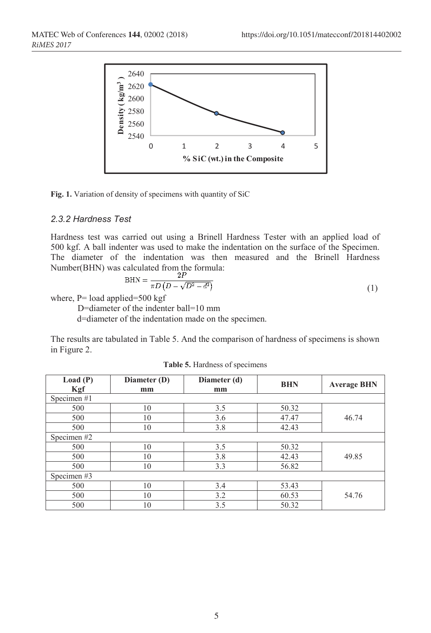

**Fig. 1.** Variation of density of specimens with quantity of SiC

#### *2.3.2 Hardness Test*

Hardness test was carried out using a Brinell Hardness Tester with an applied load of 500 kgf. A ball indenter was used to make the indentation on the surface of the Specimen. The diameter of the indentation was then measured and the Brinell Hardness Number(BHN) was calculated from the formula:

$$
BHN = \frac{2I}{\pi D \left( D - \sqrt{D^2 - d^2} \right)}\tag{1}
$$

where,  $P =$  load applied=500 kgf

D=diameter of the indenter ball=10 mm

d=diameter of the indentation made on the specimen.

The results are tabulated in Table 5. And the comparison of hardness of specimens is shown in Figure 2.

| Load(P)       | Diameter (D) | Diameter (d) | <b>BHN</b> | <b>Average BHN</b> |
|---------------|--------------|--------------|------------|--------------------|
| Kgf           | mm           | mm           |            |                    |
| Specimen#1    |              |              |            |                    |
| 500           | 10           | 3.5          | 50.32      |                    |
| 500           | 10           | 3.6          | 47.47      | 46.74              |
| 500           | 10           | 3.8          | 42.43      |                    |
| Specimen#2    |              |              |            |                    |
| 500           | 10           | 3.5          | 50.32      |                    |
| 500           | 10           | 3.8          | 42.43      | 49.85              |
| 500           | 10           | 3.3          | 56.82      |                    |
| Specimen $#3$ |              |              |            |                    |
| 500           | 10           | 3.4          | 53.43      |                    |
| 500           | 10           | 3.2          | 60.53      | 54.76              |
| 500           | 10           | 3.5          | 50.32      |                    |

|  |  | <b>Table 5.</b> Hardness of specimens |  |  |
|--|--|---------------------------------------|--|--|
|--|--|---------------------------------------|--|--|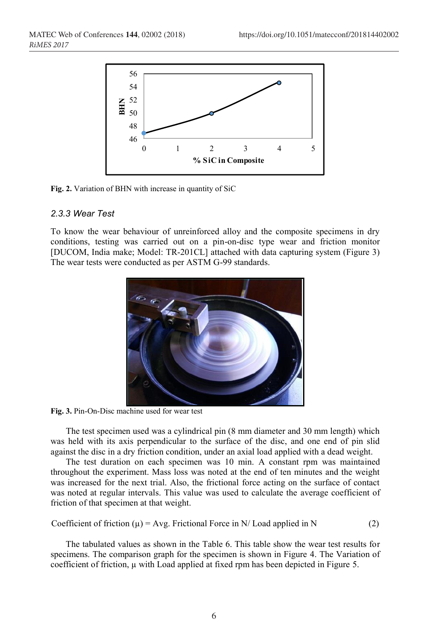

**Fig. 2.** Variation of BHN with increase in quantity of SiC

#### *2.3.3 Wear Test*

To know the wear behaviour of unreinforced alloy and the composite specimens in dry conditions, testing was carried out on a pin-on-disc type wear and friction monitor [DUCOM, India make; Model: TR-201CL] attached with data capturing system (Figure 3) The wear tests were conducted as per ASTM G-99 standards.



**Fig. 3.** Pin-On-Disc machine used for wear test

The test specimen used was a cylindrical pin (8 mm diameter and 30 mm length) which was held with its axis perpendicular to the surface of the disc, and one end of pin slid against the disc in a dry friction condition, under an axial load applied with a dead weight.

The test duration on each specimen was 10 min. A constant rpm was maintained throughout the experiment. Mass loss was noted at the end of ten minutes and the weight was increased for the next trial. Also, the frictional force acting on the surface of contact was noted at regular intervals. This value was used to calculate the average coefficient of friction of that specimen at that weight.

Coefficient of friction 
$$
(\mu)
$$
 = Avg. Frictional Force in N/ Load applied in N (2)

The tabulated values as shown in the Table 6. This table show the wear test results for specimens. The comparison graph for the specimen is shown in Figure 4. The Variation of coefficient of friction,  $\mu$  with Load applied at fixed rpm has been depicted in Figure 5.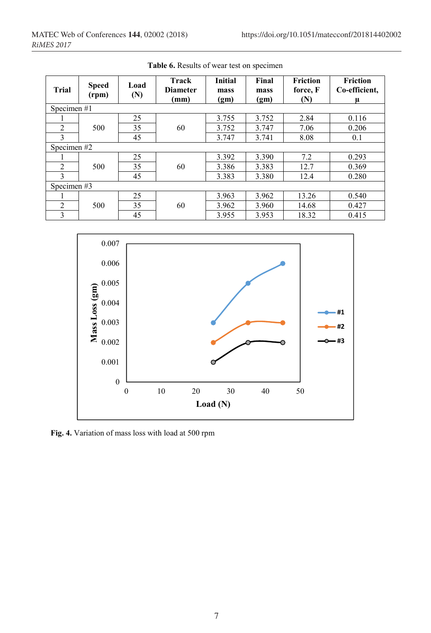| <b>Trial</b>   | <b>Speed</b><br>(rpm) | Load<br>(N) | Track<br><b>Diameter</b><br>(mm) | <b>Initial</b><br>mass<br>(gm) | Final<br>mass<br>(gm) | <b>Friction</b><br>force, F<br>(N) | <b>Friction</b><br>Co-efficient,<br>μ |  |
|----------------|-----------------------|-------------|----------------------------------|--------------------------------|-----------------------|------------------------------------|---------------------------------------|--|
| Specimen #1    |                       |             |                                  |                                |                       |                                    |                                       |  |
|                |                       | 25          |                                  | 3.755                          | 3.752                 | 2.84                               | 0.116                                 |  |
| 2              | 500                   | 35          | 60                               | 3.752                          | 3.747                 | 7.06                               | 0.206                                 |  |
| 3              |                       | 45          |                                  | 3.747                          | 3.741                 | 8.08                               | 0.1                                   |  |
|                | Specimen#2            |             |                                  |                                |                       |                                    |                                       |  |
|                |                       | 25          |                                  | 3.392                          | 3.390                 | 7.2                                | 0.293                                 |  |
| $\overline{2}$ | 500                   | 35          | 60                               | 3.386                          | 3.383                 | 12.7                               | 0.369                                 |  |
| 3              |                       | 45          |                                  | 3.383                          | 3.380                 | 12.4                               | 0.280                                 |  |
| Specimen#3     |                       |             |                                  |                                |                       |                                    |                                       |  |
|                |                       | 25          |                                  | 3.963                          | 3.962                 | 13.26                              | 0.540                                 |  |
| $\overline{2}$ | 500                   | 35          | 60                               | 3.962                          | 3.960                 | 14.68                              | 0.427                                 |  |
| 3              |                       | 45          |                                  | 3.955                          | 3.953                 | 18.32                              | 0.415                                 |  |

**Table 6.** Results of wear test on specimen



**Fig. 4.** Variation of mass loss with load at 500 rpm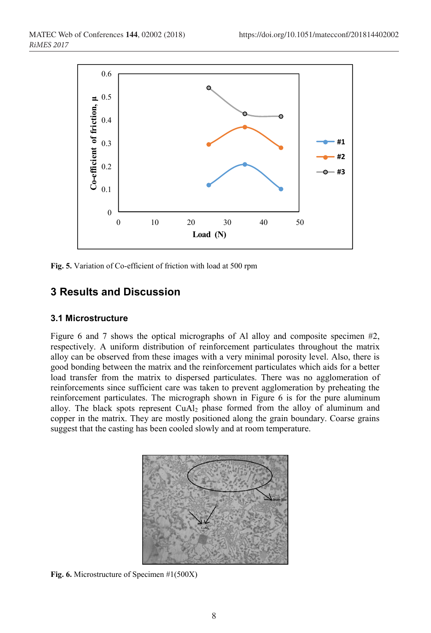

**Fig. 5.** Variation of Co-efficient of friction with load at 500 rpm

# **3 Results and Discussion**

#### **3.1 Microstructure**

Figure 6 and 7 shows the optical micrographs of Al alloy and composite specimen #2, respectively. A uniform distribution of reinforcement particulates throughout the matrix alloy can be observed from these images with a very minimal porosity level. Also, there is good bonding between the matrix and the reinforcement particulates which aids for a better load transfer from the matrix to dispersed particulates. There was no agglomeration of reinforcements since sufficient care was taken to prevent agglomeration by preheating the reinforcement particulates. The micrograph shown in Figure 6 is for the pure aluminum alloy. The black spots represent CuAl2 phase formed from the alloy of aluminum and copper in the matrix. They are mostly positioned along the grain boundary. Coarse grains suggest that the casting has been cooled slowly and at room temperature.



**Fig. 6.** Microstructure of Specimen #1(500X)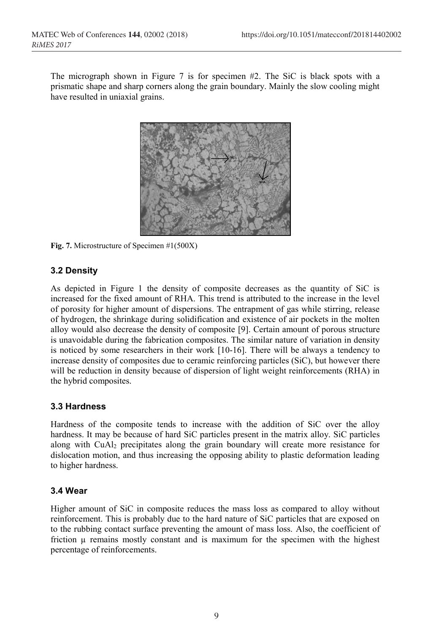The micrograph shown in Figure 7 is for specimen #2. The SiC is black spots with a prismatic shape and sharp corners along the grain boundary. Mainly the slow cooling might have resulted in uniaxial grains.



**Fig. 7.** Microstructure of Specimen #1(500X)

#### **3.2 Density**

As depicted in Figure 1 the density of composite decreases as the quantity of SiC is increased for the fixed amount of RHA. This trend is attributed to the increase in the level of porosity for higher amount of dispersions. The entrapment of gas while stirring, release of hydrogen, the shrinkage during solidification and existence of air pockets in the molten alloy would also decrease the density of composite [9]. Certain amount of porous structure is unavoidable during the fabrication composites. The similar nature of variation in density is noticed by some researchers in their work [10-16]. There will be always a tendency to increase density of composites due to ceramic reinforcing particles (SiC), but however there will be reduction in density because of dispersion of light weight reinforcements (RHA) in the hybrid composites.

#### **3.3 Hardness**

Hardness of the composite tends to increase with the addition of SiC over the alloy hardness. It may be because of hard SiC particles present in the matrix alloy. SiC particles along with CuAl2 precipitates along the grain boundary will create more resistance for dislocation motion, and thus increasing the opposing ability to plastic deformation leading to higher hardness.

#### **3.4 Wear**

Higher amount of SiC in composite reduces the mass loss as compared to alloy without reinforcement. This is probably due to the hard nature of SiC particles that are exposed on to the rubbing contact surface preventing the amount of mass loss. Also, the coefficient of friction  $\mu$  remains mostly constant and is maximum for the specimen with the highest percentage of reinforcements.